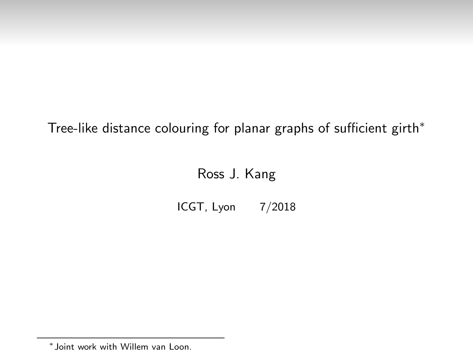Tree-like distance colouring for planar graphs of sufficient girth<sup>∗</sup>

# Ross J. Kang

ICGT, Lyon 7/2018

<sup>∗</sup> Joint work with Willem van Loon.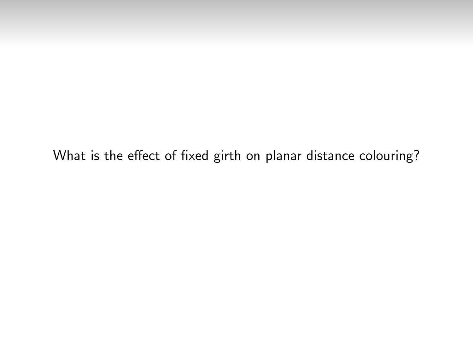What is the effect of fixed girth on planar distance colouring?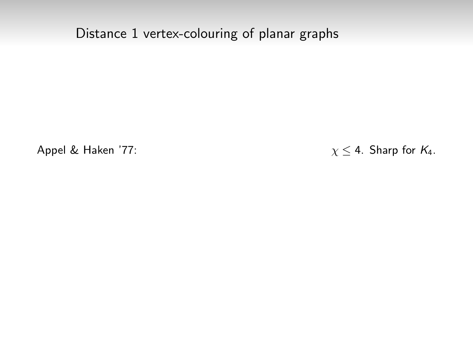Distance 1 vertex-colouring of planar graphs

Appel & Haken '77:  $\chi \leq 4$ . Sharp for  $K_4$ .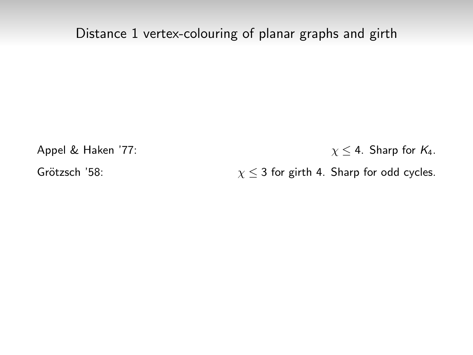Appel & Haken '77:  $\chi \leq 4$ . Sharp for  $K_4$ .

Grötzsch '58:  $\chi \leq 3$  for girth 4. Sharp for odd cycles.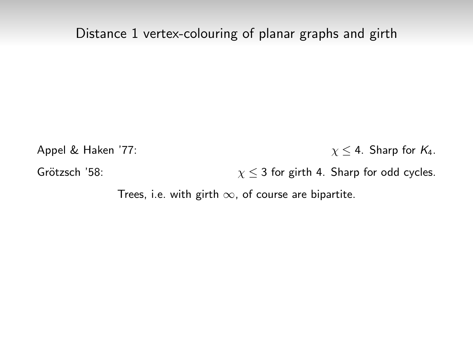Appel & Haken '77:  $\chi \leq 4$ . Sharp for  $K_4$ . Grötzsch '58:  $\chi \leq 3$  for girth 4. Sharp for odd cycles.

Trees, i.e. with girth  $\infty$ , of course are bipartite.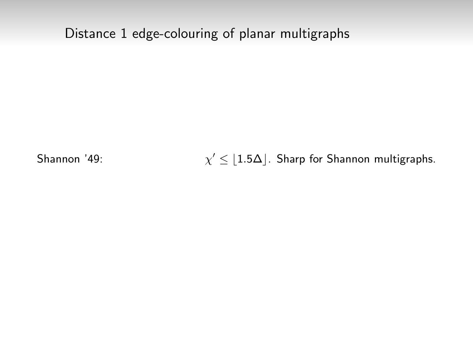# Distance 1 edge-colouring of planar multigraphs

Shannon '49:

 $\chi' \leq 1.5\Delta$ . Sharp for Shannon multigraphs.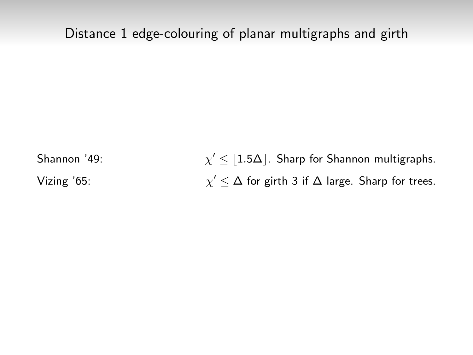Shannon '49:  $\chi' \leq |1.5\Delta|$ . Sharp for Shannon multigraphs. Vizing '65:  $\chi'$   $\leq$   $\Delta$  for girth 3 if  $\Delta$  large. Sharp for trees.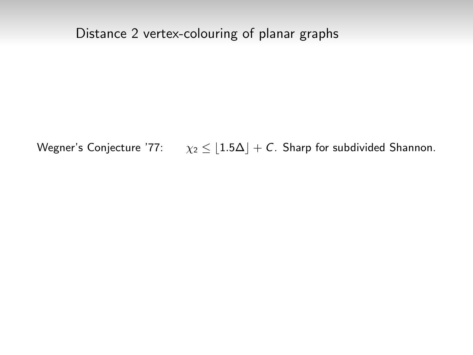## Distance 2 vertex-colouring of planar graphs

Wegner's Conjecture '77:  $\chi_2 \leq 1.5\Delta + C$ . Sharp for subdivided Shannon.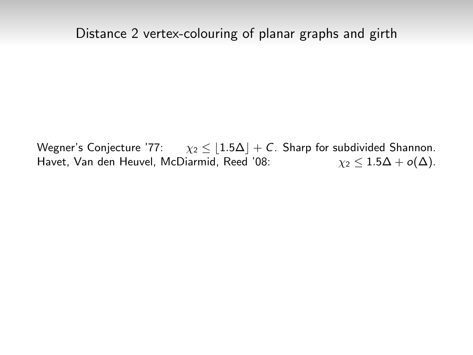Wegner's Conjecture '77:  $\chi_2 \leq 1.5\Delta + C$ . Sharp for subdivided Shannon. Havet, Van den Heuvel, McDiarmid, Reed '08:  $\gamma_2 < 1.5\Delta + o(\Delta)$ .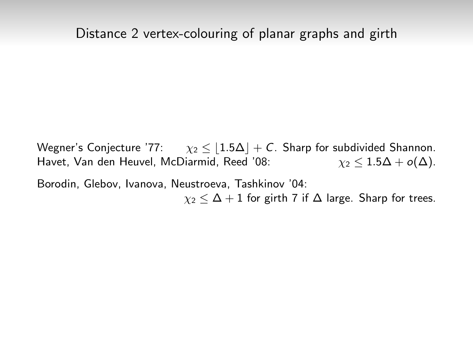Wegner's Conjecture '77:  $\chi_2 \leq 1.5\Delta + C$ . Sharp for subdivided Shannon. Havet, Van den Heuvel, McDiarmid, Reed '08:  $\gamma_2 < 1.5\Delta + o(\Delta)$ .

Borodin, Glebov, Ivanova, Neustroeva, Tashkinov '04:  $\chi_2 < \Delta + 1$  for girth 7 if  $\Delta$  large. Sharp for trees.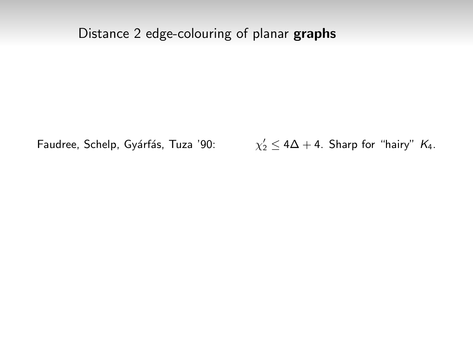## Distance 2 edge-colouring of planar graphs

Faudree, Schelp, Gyárfás, Tuza '90:

 $\gamma_2' \leq 4\Delta + 4$ . Sharp for "hairy"  $K_4$ .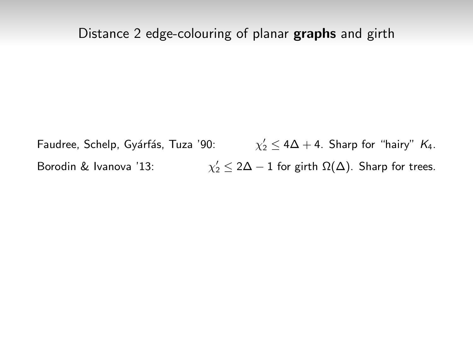Faudree, Schelp, Gyárfás, Tuza '90:  $\gamma_2' \leq 4\Delta + 4$ . Sharp for "hairy"  $K_4$ . Borodin & Ivanova '13:  $\mathcal{O}_2' \leq 2\Delta - 1$  for girth  $\Omega(\Delta)$ . Sharp for trees.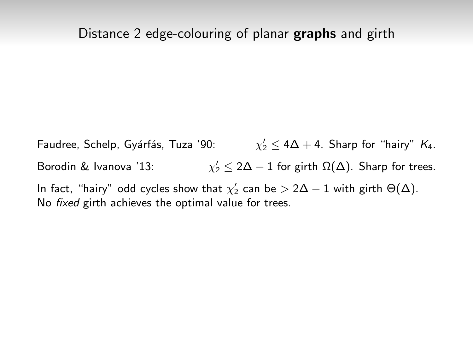Faudree, Schelp, Gyárfás, Tuza '90:  $\gamma_2' \leq 4\Delta + 4$ . Sharp for "hairy"  $K_4$ . Borodin & Ivanova '13: χ  $\mathcal{O}_2' \leq 2\Delta - 1$  for girth  $\Omega(\Delta)$ . Sharp for trees. In fact, "hairy" odd cycles show that  $\chi_2'$  can be  $> 2\Delta-1$  with girth  $\Theta(\Delta).$ No fixed girth achieves the optimal value for trees.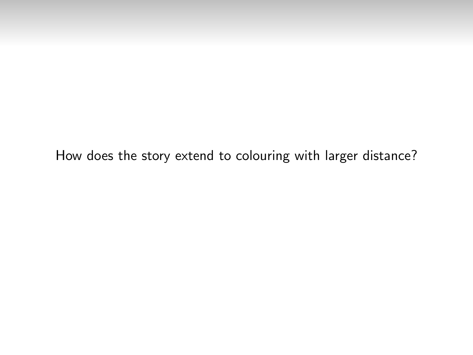How does the story extend to colouring with larger distance?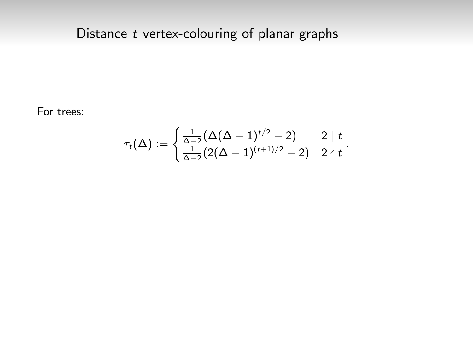## Distance  $t$  vertex-colouring of planar graphs

For trees:

$$
\tau_t(\Delta) := \begin{cases} \frac{1}{\Delta - 2} (\Delta(\Delta - 1)^{t/2} - 2) & 2 \mid t \\ \frac{1}{\Delta - 2} (2(\Delta - 1)^{(t+1)/2} - 2) & 2 \nmid t \end{cases}.
$$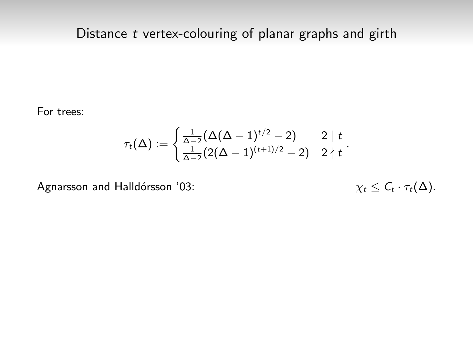For trees:

$$
\tau_t(\Delta):=\begin{cases} \frac{1}{\Delta-2}(\Delta(\Delta-1)^{t/2}-2) & 2\mid t \\ \frac{1}{\Delta-2}(2(\Delta-1)^{(t+1)/2}-2) & 2\nmid t \end{cases}.
$$

Agnarsson and Halldórsson '03:

$$
\chi_t \leq C_t \cdot \tau_t(\Delta).
$$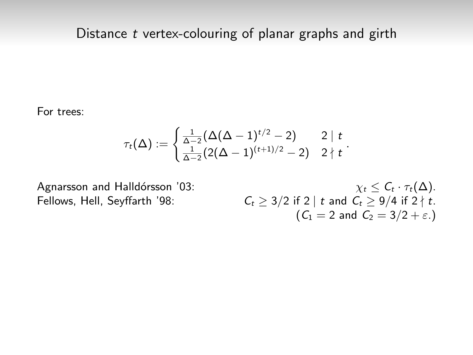For trees:

$$
\tau_t(\Delta):=\begin{cases} \frac{1}{\Delta-2}(\Delta(\Delta-1)^{t/2}-2) & 2\mid t\\ \frac{1}{\Delta-2}(2(\Delta-1)^{(t+1)/2}-2) & 2\nmid t\end{cases}.
$$

Agnarsson and Halldórsson '03:  $\chi_t \leq C_t \cdot \tau_t(\Delta)$ . Fellows, Hell, Seyffarth '98:  $C_t \geq 3/2$  if 2 | t and  $C_t \geq 9/4$  if 2 | t.  $(C_1 = 2 \text{ and } C_2 = 3/2 + \varepsilon)$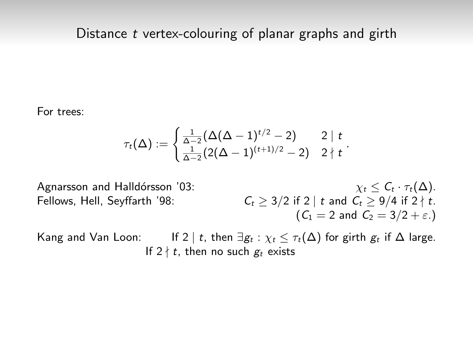For trees:

$$
\tau_t(\Delta) := \begin{cases} \frac{1}{\Delta-2}(\Delta(\Delta-1)^{t/2}-2) & 2 \mid t \\ \frac{1}{\Delta-2}(2(\Delta-1)^{(t+1)/2}-2) & 2 \nmid t \end{cases}.
$$

Agnarsson and Halldórsson '03:  $\chi_t \leq C_t \cdot \tau_t(\Delta)$ . Fellows, Hell, Seyffarth '98:  $C_t \geq 3/2$  if 2 | t and  $C_t \geq 9/4$  if 2 | t.  $(C_1 = 2$  and  $C_2 = 3/2 + \varepsilon$ .

Kang and Van Loon: If 2 | t, then  $\exists g_t : \chi_t \leq \tau_t(\Delta)$  for girth  $g_t$  if  $\Delta$  large. If  $2 \nmid t$ , then no such  $g_t$  exists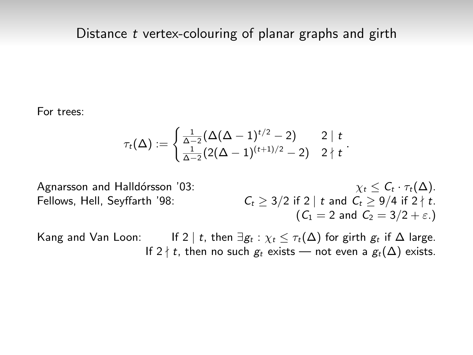For trees:

$$
\tau_t(\Delta):=\begin{cases} \frac{1}{\Delta-2}(\Delta(\Delta-1)^{t/2}-2) & 2\mid t \\ \frac{1}{\Delta-2}(2(\Delta-1)^{(t+1)/2}-2) & 2\nmid t \end{cases}.
$$

Agnarsson and Halldórsson '03:  $\chi_t \leq C_t \cdot \tau_t(\Delta)$ . Fellows, Hell, Seyffarth '98:  $C_t > 3/2$  if 2 | t and  $C_t > 9/4$  if 2 | t.  $(C_1 = 2$  and  $C_2 = 3/2 + \varepsilon$ .

Kang and Van Loon: If 2 | t, then  $\exists g_t : \chi_t \leq \tau_t(\Delta)$  for girth  $g_t$  if  $\Delta$  large. If 2  $\nmid t$ , then no such  $g_t$  exists — not even a  $g_t(\Delta)$  exists.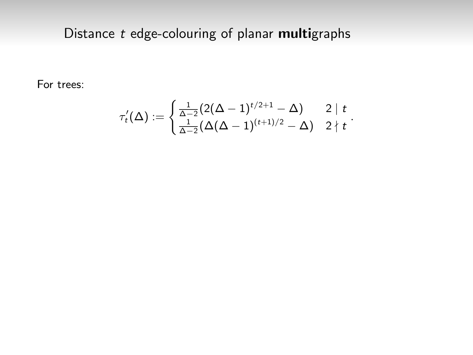For trees:

$$
\tau'_t(\Delta) := \begin{cases} \frac{1}{\Delta - 2} (2(\Delta - 1)^{t/2+1} - \Delta) & 2 \mid t \\ \frac{1}{\Delta - 2} (\Delta(\Delta - 1)^{(t+1)/2} - \Delta) & 2 \nmid t \end{cases}.
$$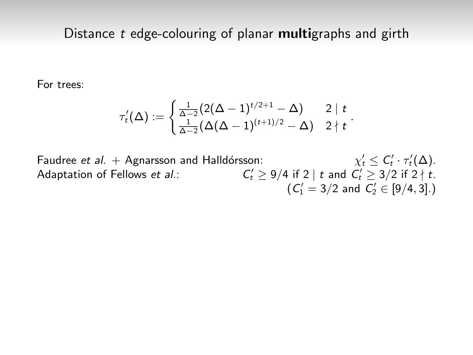For trees:

$$
\tau'_t(\Delta) := \begin{cases} \frac{1}{\Delta - 2} (2(\Delta - 1)^{t/2 + 1} - \Delta) & 2 \mid t \\ \frac{1}{\Delta - 2} (\Delta(\Delta - 1)^{(t+1)/2} - \Delta) & 2 \nmid t \end{cases}.
$$

Faudree et al.  $+$  Agnarsson and Halldórsson:  $C'_t \leq C'_t \cdot \tau'_t(\Delta).$ Adaptation of Fellows et al.:  $C'_t \geq 9/4$  if 2 | t and  $C'_t \geq 3/2$  if 2  $\nmid t$ .  $(C_1' = 3/2$  and  $C_2' \in [9/4, 3]$ .)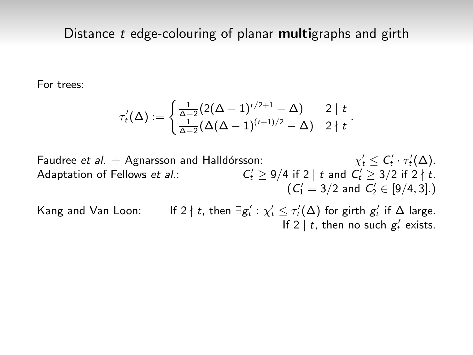For trees:

$$
\tau'_t(\Delta) := \begin{cases} \frac{1}{\Delta - 2} (2(\Delta - 1)^{t/2 + 1} - \Delta) & 2 \mid t \\ \frac{1}{\Delta - 2} (\Delta(\Delta - 1)^{(t+1)/2} - \Delta) & 2 \nmid t \end{cases}.
$$

Faudree et al.  $+$  Agnarsson and Halldórsson:  $C'_t \leq C'_t \cdot \tau'_t(\Delta).$ Adaptation of Fellows et al.:  $C'_t \geq 9/4$  if 2 | t and  $C'_t \geq 3/2$  if 2  $\nmid t$ .  $(C_1' = 3/2$  and  $C_2' \in [9/4, 3]$ .)

Kang and Van Loon:  $\gamma_t' : \chi_t' \leq \tau_t'(\Delta)$  for girth  $g_t'$  if  $\Delta$  large. If  $2 \mid t$ , then no such  $g'_t$  exists.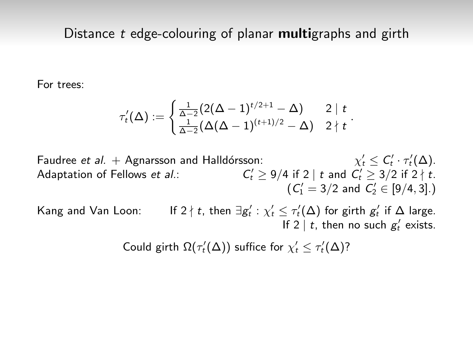For trees:

$$
\tau'_t(\Delta) := \begin{cases} \frac{1}{\Delta - 2} (2(\Delta - 1)^{t/2 + 1} - \Delta) & 2 \mid t \\ \frac{1}{\Delta - 2} (\Delta(\Delta - 1)^{(t+1)/2} - \Delta) & 2 \nmid t \end{cases}.
$$

Faudree et al.  $+$  Agnarsson and Halldórsson:  $C'_t \leq C'_t \cdot \tau'_t(\Delta).$ Adaptation of Fellows et al.:  $C'_t \geq 9/4$  if 2 | t and  $C'_t \geq 3/2$  if 2  $\nmid t$ .  $(C_1' = 3/2$  and  $C_2' \in [9/4, 3]$ .)

Kang and Van Loon: If 2  $\nmid t$ , then  $\exists g_t' : \chi_t' \leq \tau_t'(\Delta)$  for girth  $g_t'$  if  $\Delta$  large. If  $2 \mid t$ , then no such  $g'_t$  exists.

Could girth  $\Omega(\tau'_t(\Delta))$  suffice for  $\chi'_t \leq \tau'_t(\Delta)$ ?